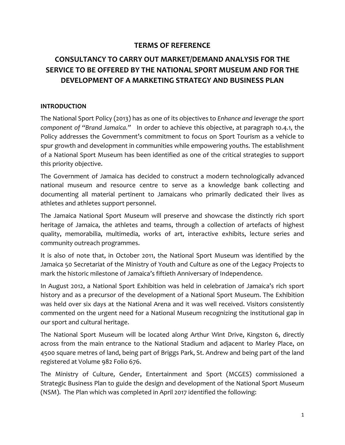# **TERMS OF REFERENCE**

# **CONSULTANCY TO CARRY OUT MARKET/DEMAND ANALYSIS FOR THE SERVICE TO BE OFFERED BY THE NATIONAL SPORT MUSEUM AND FOR THE DEVELOPMENT OF A MARKETING STRATEGY AND BUSINESS PLAN**

#### **INTRODUCTION**

The National Sport Policy (2013) has as one of its objectives to *Enhance and leverage the sport component of "Brand Jamaica."* In order to achieve this objective, at paragraph 10.4.1, the Policy addresses the Government's commitment to focus on Sport Tourism as a vehicle to spur growth and development in communities while empowering youths. The establishment of a National Sport Museum has been identified as one of the critical strategies to support this priority objective.

The Government of Jamaica has decided to construct a modern technologically advanced national museum and resource centre to serve as a knowledge bank collecting and documenting all material pertinent to Jamaicans who primarily dedicated their lives as athletes and athletes support personnel.

The Jamaica National Sport Museum will preserve and showcase the distinctly rich sport heritage of Jamaica, the athletes and teams, through a collection of artefacts of highest quality, memorabilia, multimedia, works of art, interactive exhibits, lecture series and community outreach programmes.

It is also of note that, in October 2011, the National Sport Museum was identified by the Jamaica 50 Secretariat of the Ministry of Youth and Culture as one of the Legacy Projects to mark the historic milestone of Jamaica's fiftieth Anniversary of Independence.

In August 2012, a National Sport Exhibition was held in celebration of Jamaica's rich sport history and as a precursor of the development of a National Sport Museum. The Exhibition was held over six days at the National Arena and it was well received. Visitors consistently commented on the urgent need for a National Museum recognizing the institutional gap in our sport and cultural heritage.

The National Sport Museum will be located along Arthur Wint Drive, Kingston 6, directly across from the main entrance to the National Stadium and adjacent to Marley Place, on 4500 square metres of land, being part of Briggs Park, St. Andrew and being part of the land registered at Volume 982 Folio 676.

The Ministry of Culture, Gender, Entertainment and Sport (MCGES) commissioned a Strategic Business Plan to guide the design and development of the National Sport Museum (NSM). The Plan which was completed in April 2017 identified the following: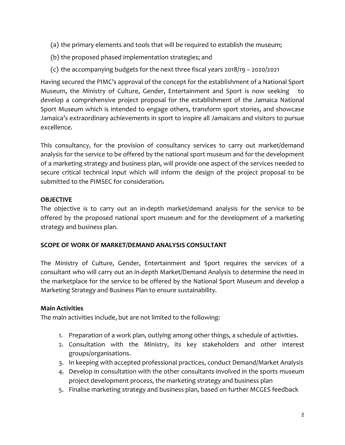- (a) the primary elements and tools that will be required to establish the museum;
- (b) the proposed phased implementation strategies; and
- (c) the accompanying budgets for the next three fiscal years 2018/19 2020/2021

Having secured the PIMC's approval of the concept for the establishment of a National Sport Museum, the Ministry of Culture, Gender, Entertainment and Sport is now seeking to develop a comprehensive project proposal for the establishment of the Jamaica National Sport Museum which is intended to engage others, transform sport stories, and showcase Jamaica's extraordinary achievements in sport to inspire all Jamaicans and visitors to pursue excellence.

This consultancy, for the provision of consultancy services to carry out market/demand analysis for the service to be offered by the national sport museum and for the development of a marketing strategy and business plan, will provide one aspect of the services needed to secure critical technical input which will inform the design of the project proposal to be submitted to the PIMSEC for consideration**.**

### **OBJECTIVE**

The objective is to carry out an in‐depth market/demand analysis for the service to be offered by the proposed national sport museum and for the development of a marketing strategy and business plan.

### **SCOPE OF WORK OF MARKET/DEMAND ANALYSIS CONSULTANT**

The Ministry of Culture, Gender, Entertainment and Sport requires the services of a consultant who will carry out an in‐depth Market/Demand Analysis to determine the need in the marketplace for the service to be offered by the National Sport Museum and develop a Marketing Strategy and Business Plan to ensure sustainability.

### **Main Activities**

The main activities include, but are not limited to the following:

- 1. Preparation of a work plan, outlying among other things, a schedule of activities.
- 2. Consultation with the Ministry, its key stakeholders and other interest groups/organisations.
- 3. In keeping with accepted professional practices, conduct Demand/Market Analysis
- 4. Develop in consultation with the other consultants involved in the sports museum project development process, the marketing strategy and business plan
- 5. Finalise marketing strategy and business plan, based on further MCGES feedback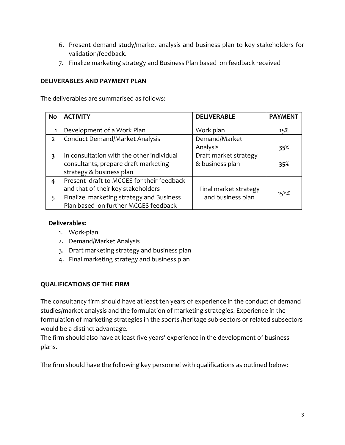- 6. Present demand study/market analysis and business plan to key stakeholders for validation/feedback.
- 7. Finalize marketing strategy and Business Plan based on feedback received

### **DELIVERABLES AND PAYMENT PLAN**

The deliverables are summarised as follows:

| <b>No</b>               | <b>ACTIVITY</b>                           | <b>DELIVERABLE</b>    | <b>PAYMENT</b> |
|-------------------------|-------------------------------------------|-----------------------|----------------|
|                         |                                           |                       |                |
|                         | Development of a Work Plan                | Work plan             | 15%            |
| $\overline{2}$          | <b>Conduct Demand/Market Analysis</b>     | Demand/Market         |                |
|                         |                                           | Analysis              | 35%            |
| $\overline{\mathbf{3}}$ | In consultation with the other individual | Draft market strategy |                |
|                         | consultants, prepare draft marketing      | & business plan       | 35%            |
|                         | strategy & business plan                  |                       |                |
| 4                       | Present draft to MCGES for their feedback |                       |                |
|                         | and that of their key stakeholders        | Final market strategy |                |
| 5                       | Finalize marketing strategy and Business  | and business plan     | 15%%           |
|                         | Plan based on further MCGES feedback      |                       |                |

#### **Deliverables:**

- 1. Work‐plan
- 2. Demand/Market Analysis
- 3. Draft marketing strategy and business plan
- 4. Final marketing strategy and business plan

#### **QUALIFICATIONS OF THE FIRM**

The consultancy firm should have at least ten years of experience in the conduct of demand studies/market analysis and the formulation of marketing strategies. Experience in the formulation of marketing strategies in the sports /heritage sub‐sectors or related subsectors would be a distinct advantage.

The firm should also have at least five years' experience in the development of business plans.

The firm should have the following key personnel with qualifications as outlined below: